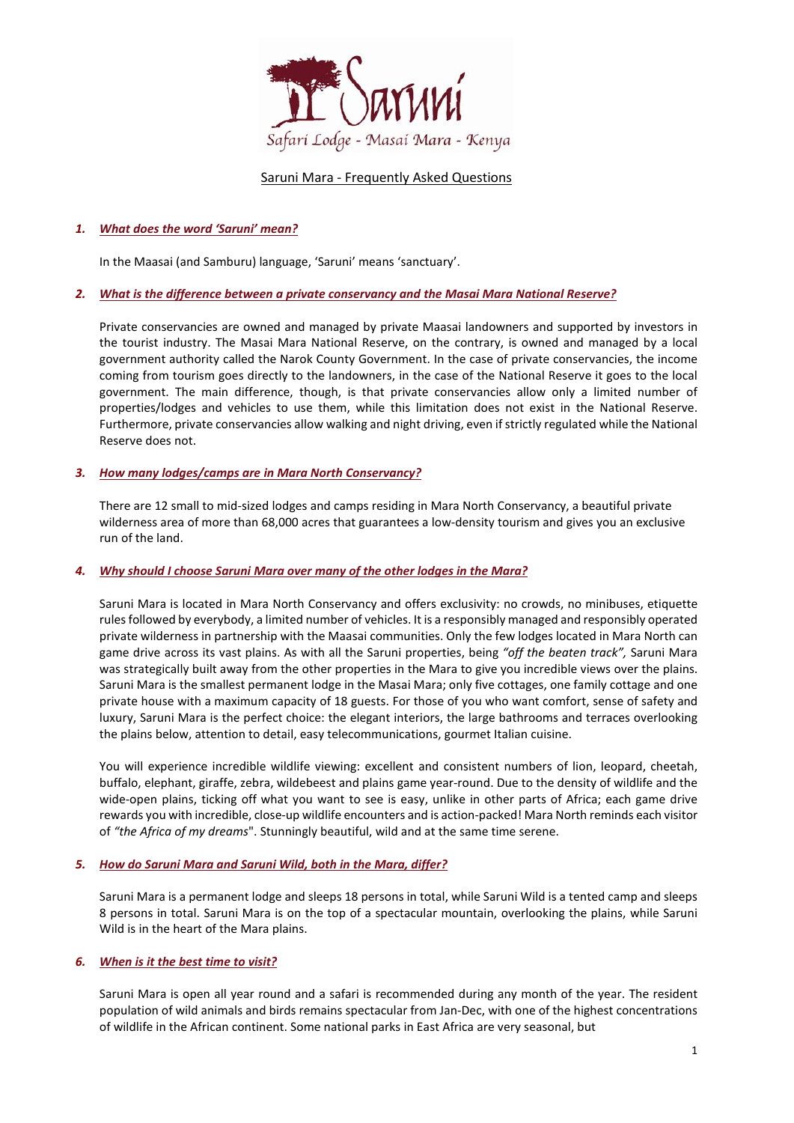

# Saruni Mara - Frequently Asked Questions

# *1. What does the word 'Saruni' mean?*

In the Maasai (and Samburu) language, 'Saruni' means 'sanctuary'.

## *2. What is the difference between a private conservancy and the Masai Mara National Reserve?*

Private conservancies are owned and managed by private Maasai landowners and supported by investors in the tourist industry. The Masai Mara National Reserve, on the contrary, is owned and managed by a local government authority called the Narok County Government. In the case of private conservancies, the income coming from tourism goes directly to the landowners, in the case of the National Reserve it goes to the local government. The main difference, though, is that private conservancies allow only a limited number of properties/lodges and vehicles to use them, while this limitation does not exist in the National Reserve. Furthermore, private conservancies allow walking and night driving, even if strictly regulated while the National Reserve does not.

### *3. How many lodges/camps are in Mara North Conservancy?*

There are 12 small to mid-sized lodges and camps residing in Mara North Conservancy, a beautiful private wilderness area of more than 68,000 acres that guarantees a low-density tourism and gives you an exclusive run of the land.

#### *4. Why should I choose Saruni Mara over many of the other lodges in the Mara?*

Saruni Mara is located in Mara North Conservancy and offers exclusivity: no crowds, no minibuses, etiquette rules followed by everybody, a limited number of vehicles. It is a responsibly managed and responsibly operated private wilderness in partnership with the Maasai communities. Only the few lodges located in Mara North can game drive across its vast plains. As with all the Saruni properties, being *"off the beaten track",* Saruni Mara was strategically built away from the other properties in the Mara to give you incredible views over the plains. Saruni Mara is the smallest permanent lodge in the Masai Mara; only five cottages, one family cottage and one private house with a maximum capacity of 18 guests. For those of you who want comfort, sense of safety and luxury, Saruni Mara is the perfect choice: the elegant interiors, the large bathrooms and terraces overlooking the plains below, attention to detail, easy telecommunications, gourmet Italian cuisine.

You will experience incredible wildlife viewing: excellent and consistent numbers of lion, leopard, cheetah, buffalo, elephant, giraffe, zebra, wildebeest and plains game year-round. Due to the density of wildlife and the wide-open plains, ticking off what you want to see is easy, unlike in other parts of Africa; each game drive rewards you with incredible, close-up wildlife encounters and is action-packed! Mara North reminds each visitor of *"the Africa of my dreams*". Stunningly beautiful, wild and at the same time serene.

#### *5. How do Saruni Mara and Saruni Wild, both in the Mara, differ?*

Saruni Mara is a permanent lodge and sleeps 18 persons in total, while Saruni Wild is a tented camp and sleeps 8 persons in total. Saruni Mara is on the top of a spectacular mountain, overlooking the plains, while Saruni Wild is in the heart of the Mara plains.

## *6. [When](http://www.sarunimara.com/questions/2.htm) is it the best time to visit?*

Saruni Mara is open all year round and a safari is recommended during any month of the year. The resident population of wild animals and birds remains spectacular from Jan-Dec, with one of the highest concentrations of wildlife in the African continent. Some national parks in East Africa are very seasonal, but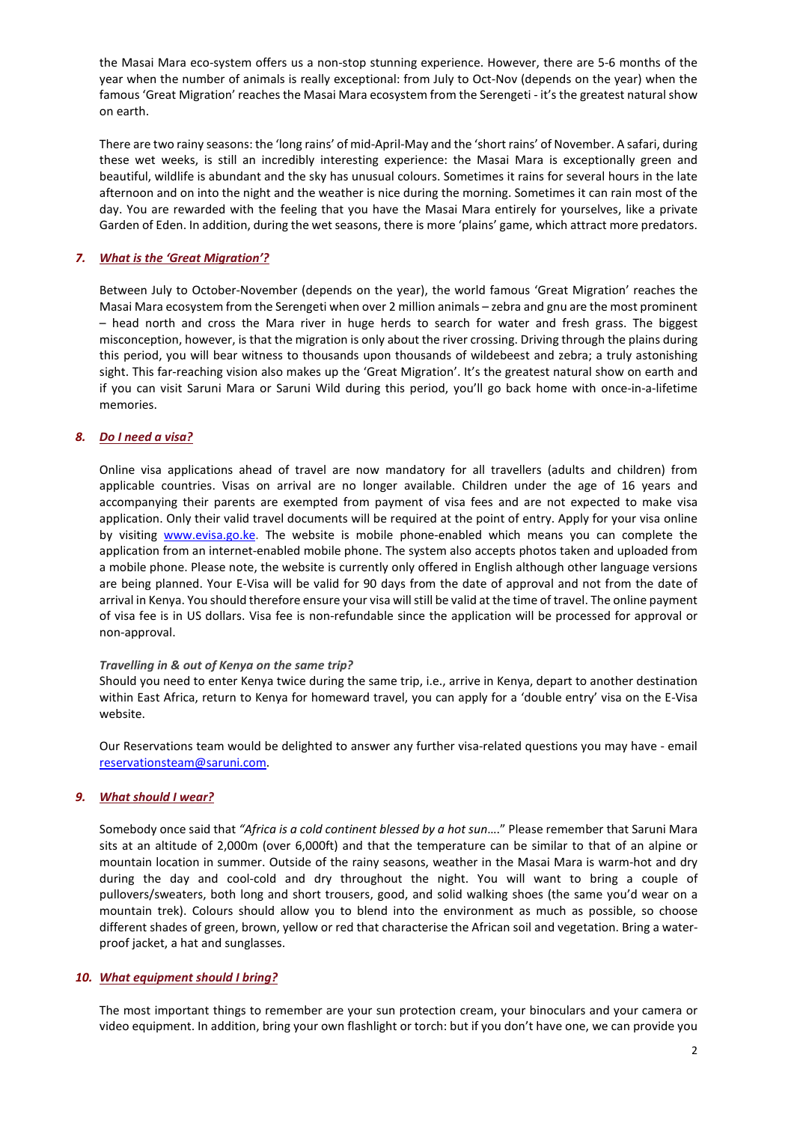the Masai Mara eco-system offers us a non-stop stunning experience. However, there are 5-6 months of the year when the number of animals is really exceptional: from July to Oct-Nov (depends on the year) when the famous 'Great Migration' reaches the Masai Mara ecosystem from the Serengeti - it's the greatest natural show on earth.

There are two rainy seasons: the 'long rains' of mid-April-May and the 'short rains' of November. A safari, during these wet weeks, is still an incredibly interesting experience: the Masai Mara is exceptionally green and beautiful, wildlife is abundant and the sky has unusual colours. Sometimes it rains for several hours in the late afternoon and on into the night and the weather is nice during the morning. Sometimes it can rain most of the day. You are rewarded with the feeling that you have the Masai Mara entirely for yourselves, like a private Garden of Eden. In addition, during the wet seasons, there is more 'plains' game, which attract more predators.

## *7. What is the 'Great Migration'?*

Between July to October-November (depends on the year), the world famous 'Great Migration' reaches the Masai Mara ecosystem from the Serengeti when over 2 million animals – zebra and gnu are the most prominent – head north and cross the Mara river in huge herds to search for water and fresh grass. The biggest misconception, however, is that the migration is only about the river crossing. Driving through the plains during this period, you will bear witness to thousands upon thousands of wildebeest and zebra; a truly astonishing sight. This far-reaching vision also makes up the 'Great Migration'. It's the greatest natural show on earth and if you can visit Saruni Mara or Saruni Wild during this period, you'll go back home with once-in-a-lifetime memories.

## *8. Do I need a visa?*

Online visa applications ahead of travel are now mandatory for all travellers (adults and children) from applicable countries. Visas on arrival are no longer available. Children under the age of 16 years and accompanying their parents are exempted from payment of visa fees and are not expected to make visa application. Only their valid travel documents will be required at the point of entry. Apply for your visa online by visiting [www.evisa.go.ke.](http://www.evisa.go.ke/) The website is mobile phone-enabled which means you can complete the application from an internet-enabled mobile phone. The system also accepts photos taken and uploaded from a mobile phone. Please note, the website is currently only offered in English although other language versions are being planned. Your E-Visa will be valid for 90 days from the date of approval and not from the date of arrival in Kenya. You should therefore ensure your visa will still be valid at the time of travel. The online payment of visa fee is in US dollars. Visa fee is non-refundable since the application will be processed for approval or non-approval.

#### *Travelling in & out of Kenya on the same trip?*

Should you need to enter Kenya twice during the same trip, i.e., arrive in Kenya, depart to another destination within East Africa, return to Kenya for homeward travel, you can apply for a 'double entry' visa on the E-Visa website.

Our Reservations team would be delighted to answer any further visa-related questions you may have - email [reservationsteam@saruni.com.](mailto:reservationsteam@saruni.com)

## *9. What [should](http://www.sarunimara.com/questions/3.htm) I wear?*

Somebody once said that *"Africa is a cold continent blessed by a hot sun*…." Please remember that Saruni Mara sits at an altitude of 2,000m (over 6,000ft) and that the temperature can be similar to that of an alpine or mountain location in summer. Outside of the rainy seasons, weather in the Masai Mara is warm-hot and dry during the day and cool-cold and dry throughout the night. You will want to bring a couple of pullovers/sweaters, both long and short trousers, good, and solid walking shoes (the same you'd wear on a mountain trek). Colours should allow you to blend into the environment as much as possible, so choose different shades of green, brown, yellow or red that characterise the African soil and vegetation. Bring a waterproof jacket, a hat and sunglasses.

#### *10. What [equipment](http://www.sarunimara.com/questions/4.htm) should I bring?*

The most important things to remember are your sun protection cream, your binoculars and your camera or video equipment. In addition, bring your own flashlight or torch: but if you don't have one, we can provide you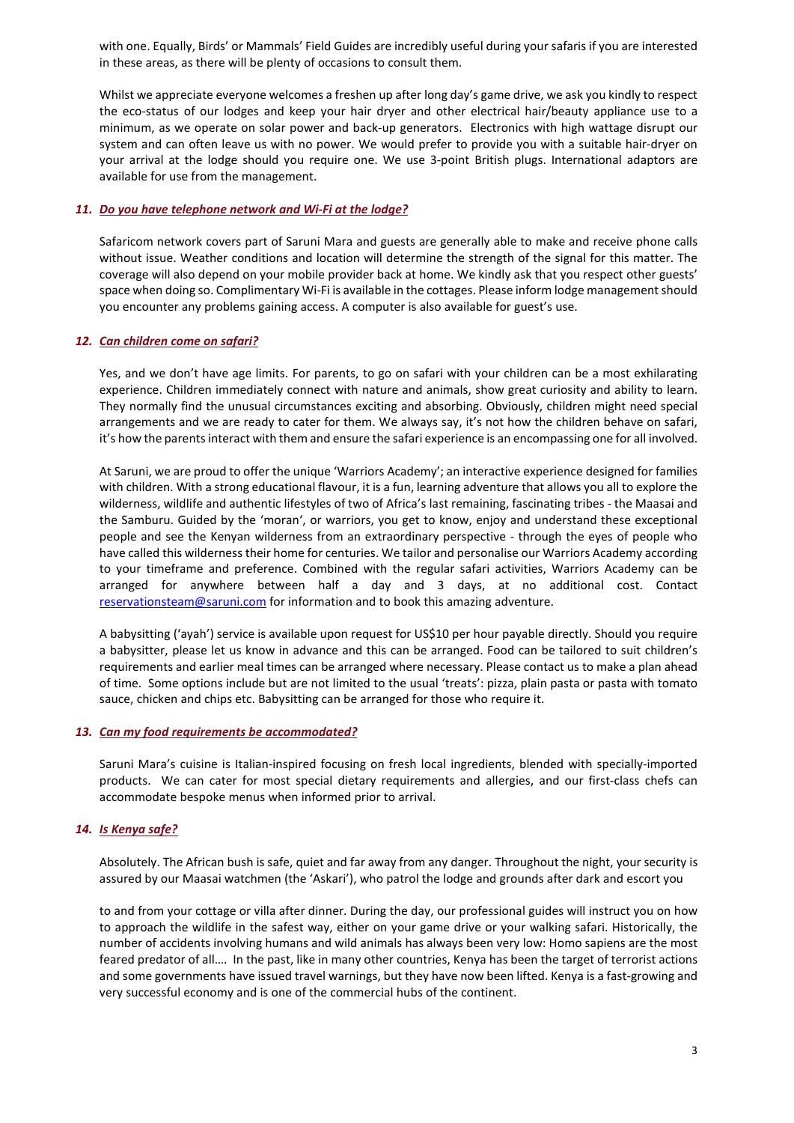with one. Equally, Birds' or Mammals' Field Guides are incredibly useful during your safaris if you are interested in these areas, as there will be plenty of occasions to consult them.

Whilst we appreciate everyone welcomes a freshen up after long day's game drive, we ask you kindly to respect the eco-status of our lodges and keep your hair dryer and other electrical hair/beauty appliance use to a minimum, as we operate on solar power and back-up generators. Electronics with high wattage disrupt our system and can often leave us with no power. We would prefer to provide you with a suitable hair-dryer on your arrival at the lodge should you require one. We use 3-point British plugs. International adaptors are available for use from the management.

## *11. Do you have telephone network and Wi-Fi at the lodge?*

Safaricom network covers part of Saruni Mara and guests are generally able to make and receive phone calls without issue. Weather conditions and location will determine the strength of the signal for this matter. The coverage will also depend on your mobile provider back at home. We kindly ask that you respect other guests' space when doing so. Complimentary Wi-Fi is available in the cottages. Please inform lodge management should you encounter any problems gaining access. A computer is also available for guest's use.

### *12. Can [children](http://www.sarunimara.com/questions/6.htm) come on safari?*

Yes, and we don't have age limits. For parents, to go on safari with your children can be a most exhilarating experience. Children immediately connect with nature and animals, show great curiosity and ability to learn. They normally find the unusual circumstances exciting and absorbing. Obviously, children might need special arrangements and we are ready to cater for them. We always say, it's not how the children behave on safari, it's how the parents interact with them and ensure the safari experience is an encompassing one for all involved.

At Saruni, we are proud to offer the unique 'Warriors Academy'; an interactive experience designed for families with children. With a strong educational flavour, it is a fun, learning adventure that allows you all to explore the wilderness, wildlife and authentic lifestyles of two of Africa's last remaining, fascinating tribes - the Maasai and the Samburu. Guided by the 'moran', or warriors, you get to know, enjoy and understand these exceptional people and see the Kenyan wilderness from an extraordinary perspective - through the eyes of people who have called this wilderness their home for centuries. We tailor and personalise our Warriors Academy according to your timeframe and preference. Combined with the regular safari activities, Warriors Academy can be arranged for anywhere between half a day and 3 days, at no additional cost. Contact [reservationsteam@saruni.com](mailto:reservationsteam@saruni.com) for information and to book this amazing adventure.

A babysitting ('ayah') service is available upon request for US\$10 per hour payable directly. Should you require a babysitter, please let us know in advance and this can be arranged. Food can be tailored to suit children's requirements and earlier meal times can be arranged where necessary. Please contact us to make a plan ahead of time. Some options include but are not limited to the usual 'treats': pizza, plain pasta or pasta with tomato sauce, chicken and chips etc. Babysitting can be arranged for those who require it.

#### *13. Can my food requirements be [accommodated?](http://www.sarunimara.com/questions/7.htm)*

Saruni Mara's cuisine is Italian-inspired focusing on fresh local ingredients, blended with specially-imported products. We can cater for most special dietary requirements and allergies, and our first-class chefs can accommodate bespoke menus when informed prior to arrival.

## *14. Is [Kenya](http://www.sarunimara.com/questions/1.htm) safe?*

Absolutely. The African bush is safe, quiet and far away from any danger. Throughout the night, your security is assured by our Maasai watchmen (the 'Askari'), who patrol the lodge and grounds after dark and escort you

to and from your cottage or villa after dinner. During the day, our professional guides will instruct you on how to approach the wildlife in the safest way, either on your game drive or your walking safari. Historically, the number of accidents involving humans and wild animals has always been very low: Homo sapiens are the most feared predator of all…. In the past, like in many other countries, Kenya has been the target of terrorist actions and some governments have issued travel warnings, but they have now been lifted. Kenya is a fast-growing and very successful economy and is one of the commercial hubs of the continent.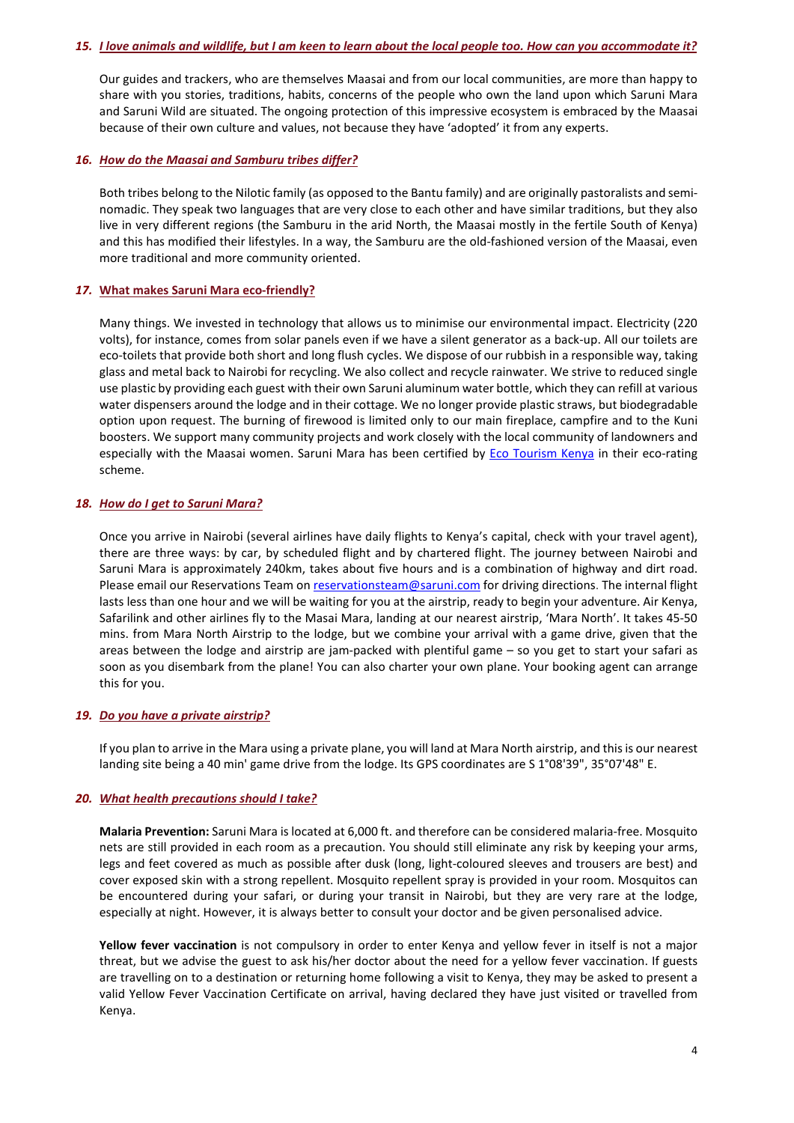#### 15. *I love animals and wildlife, but I am keen to learn about the local people too. How can you accommodate it?*

Our guides and trackers, who are themselves Maasai and from our local communities, are more than happy to share with you stories, traditions, habits, concerns of the people who own the land upon which Saruni Mara and Saruni Wild are situated. The ongoing protection of this impressive ecosystem is embraced by the Maasai because of their own culture and values, not because they have 'adopted' it from any experts.

### *16. How do the Maasai and Samburu tribes differ?*

Both tribes belong to the Nilotic family (as opposed to the Bantu family) and are originally pastoralists and seminomadic. They speak two languages that are very close to each other and have similar traditions, but they also live in very different regions (the Samburu in the arid North, the Maasai mostly in the fertile South of Kenya) and this has modified their lifestyles. In a way, the Samburu are the old-fashioned version of the Maasai, even more traditional and more community oriented.

### *17.* **What makes Saruni Mara [eco-friendly?](http://www.sarunimara.com/questions/9.htm)**

Many things. We invested in technology that allows us to minimise our environmental impact. Electricity (220 volts), for instance, comes from solar panels even if we have a silent generator as a back-up. All our toilets are eco-toilets that provide both short and long flush cycles. We dispose of our rubbish in a responsible way, taking glass and metal back to Nairobi for recycling. We also collect and recycle rainwater. We strive to reduced single use plastic by providing each guest with their own Saruni aluminum water bottle, which they can refill at various water dispensers around the lodge and in their cottage. We no longer provide plastic straws, but biodegradable option upon request. The burning of firewood is limited only to our main fireplace, campfire and to the Kuni boosters. We support many community projects and work closely with the local community of landowners and especially with the Maasai women. Saruni Mara has been certified by [Eco Tourism Kenya](http://www.ecotourismkenya.org/) in their eco-rating scheme.

### *18. How do I get to Saruni Mara?*

Once you arrive in Nairobi (several airlines have daily flights to Kenya's capital, check with your travel agent), there are three ways: by car, by scheduled flight and by chartered flight. The journey between Nairobi and Saruni Mara is approximately 240km, takes about five hours and is a combination of highway and dirt road. Please email our Reservations Team on [reservationsteam@saruni.com](mailto:reservationsteam@saruni.com) for driving directions. The internal flight lasts less than one hour and we will be waiting for you at the airstrip, ready to begin your adventure. Air Kenya, Safarilink and other airlines fly to the Masai Mara, landing at our nearest airstrip, 'Mara North'. It takes 45-50 mins. from Mara North Airstrip to the lodge, but we combine your arrival with a game drive, given that the areas between the lodge and airstrip are jam-packed with plentiful game – so you get to start your safari as soon as you disembark from the plane! You can also charter your own plane. Your booking agent can arrange this for you.

#### *19. Do you have a private [airstrip?](http://www.sarunimara.com/questions/11.htm)*

If you plan to arrive in the Mara using a private plane, you will land at Mara North airstrip, and this is our nearest landing site being a 40 min' game drive from the lodge. Its GPS coordinates are S 1°08'39", 35°07'48" E.

#### *20. What health [precautions](http://www.sarunimara.com/questions/12.htm) should I take?*

**Malaria Prevention:** Saruni Mara is located at 6,000 ft. and therefore can be considered malaria-free. Mosquito nets are still provided in each room as a precaution. You should still eliminate any risk by keeping your arms, legs and feet covered as much as possible after dusk (long, light-coloured sleeves and trousers are best) and cover exposed skin with a strong repellent. Mosquito repellent spray is provided in your room. Mosquitos can be encountered during your safari, or during your transit in Nairobi, but they are very rare at the lodge, especially at night. However, it is always better to consult your doctor and be given personalised advice.

**Yellow fever vaccination** is not compulsory in order to enter Kenya and yellow fever in itself is not a major threat, but we advise the guest to ask his/her doctor about the need for a yellow fever vaccination. If guests are travelling on to a destination or returning home following a visit to Kenya, they may be asked to present a valid Yellow Fever Vaccination Certificate on arrival, having declared they have just visited or travelled from Kenya.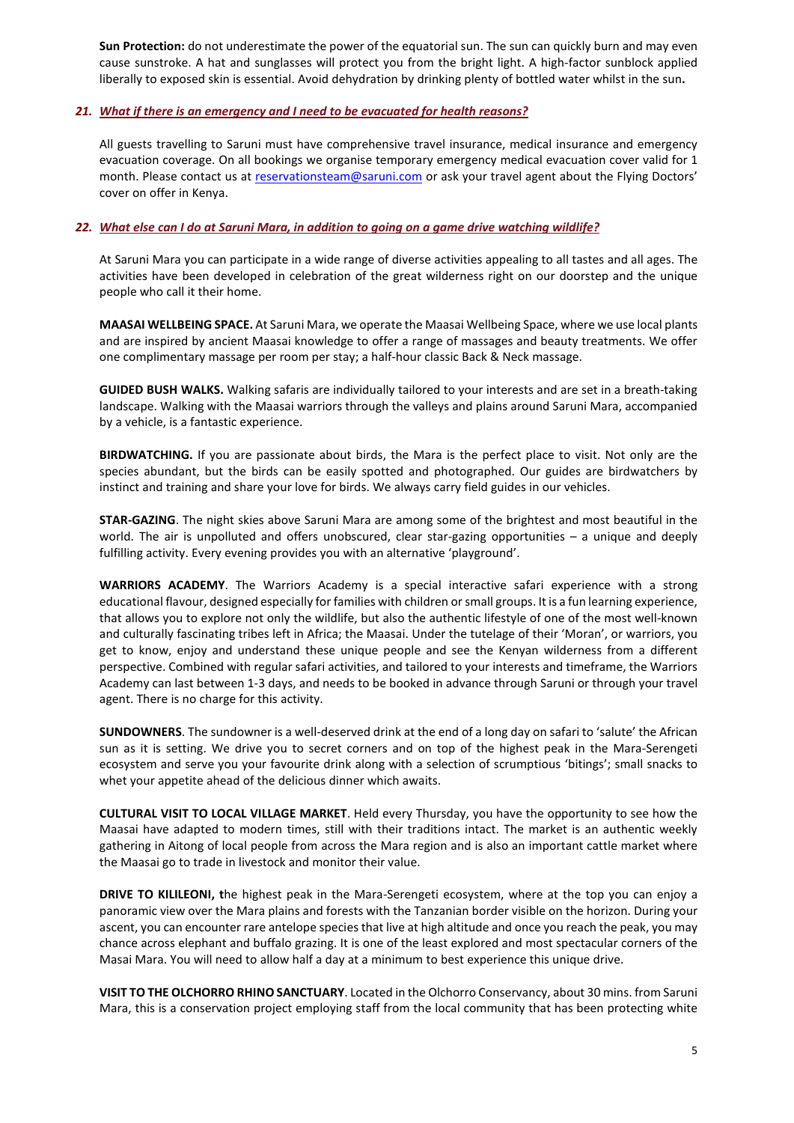**Sun Protection:** do not underestimate the power of the equatorial sun. The sun can quickly burn and may even cause sunstroke. A hat and sunglasses will protect you from the bright light. A high-factor sunblock applied liberally to exposed skin is essential. Avoid dehydration by drinking plenty of bottled water whilst in the sun**.**

## *21. What if there is an [emergency](http://www.sarunimara.com/questions/14.htm) and I need to be evacuated for health reasons?*

All guests travelling to Saruni must have comprehensive travel insurance, medical insurance and emergency evacuation coverage. On all bookings we organise temporary emergency medical evacuation cover valid for 1 month. Please contact us at [reservationsteam@saruni.com](mailto:reservationsteam@saruni.com) or ask your travel agent about the Flying Doctors' cover on offer in Kenya.

## 22. What else can I do at Saruni Mara, in addition to going on a game drive watching wildlife?

At Saruni Mara you can participate in a wide range of diverse activities appealing to all tastes and all ages. The activities have been developed in celebration of the great wilderness right on our doorstep and the unique people who call it their home.

**MAASAI WELLBEING SPACE.** At Saruni Mara, we operate the Maasai Wellbeing Space, where we use local plants and are inspired by ancient Maasai knowledge to offer a range of massages and beauty treatments. We offer one complimentary massage per room per stay; a half-hour classic Back & Neck massage.

**GUIDED BUSH WALKS.** Walking safaris are individually tailored to your interests and are set in a breath-taking landscape. Walking with the Maasai warriors through the valleys and plains around Saruni Mara, accompanied by a vehicle, is a fantastic experience.

**BIRDWATCHING.** If you are passionate about birds, the Mara is the perfect place to visit. Not only are the species abundant, but the birds can be easily spotted and photographed. Our guides are birdwatchers by instinct and training and share your love for birds. We always carry field guides in our vehicles.

**STAR-GAZING**. The night skies above Saruni Mara are among some of the brightest and most beautiful in the world. The air is unpolluted and offers unobscured, clear star-gazing opportunities – a unique and deeply fulfilling activity. Every evening provides you with an alternative 'playground'.

**WARRIORS ACADEMY**. The Warriors Academy is a special interactive safari experience with a strong educational flavour, designed especially for families with children or small groups. It is a fun learning experience, that allows you to explore not only the wildlife, but also the authentic lifestyle of one of the most well-known and culturally fascinating tribes left in Africa; the Maasai. Under the tutelage of their 'Moran', or warriors, you get to know, enjoy and understand these unique people and see the Kenyan wilderness from a different perspective. Combined with regular safari activities, and tailored to your interests and timeframe, the Warriors Academy can last between 1-3 days, and needs to be booked in advance through Saruni or through your travel agent. There is no charge for this activity.

**SUNDOWNERS**. The sundowner is a well-deserved drink at the end of a long day on safari to 'salute' the African sun as it is setting. We drive you to secret corners and on top of the highest peak in the Mara-Serengeti ecosystem and serve you your favourite drink along with a selection of scrumptious 'bitings'; small snacks to whet your appetite ahead of the delicious dinner which awaits.

**CULTURAL VISIT TO LOCAL VILLAGE MARKET**. Held every Thursday, you have the opportunity to see how the Maasai have adapted to modern times, still with their traditions intact. The market is an authentic weekly gathering in Aitong of local people from across the Mara region and is also an important cattle market where the Maasai go to trade in livestock and monitor their value.

**DRIVE TO KILILEONI, t**he highest peak in the Mara-Serengeti ecosystem, where at the top you can enjoy a panoramic view over the Mara plains and forests with the Tanzanian border visible on the horizon. During your ascent, you can encounter rare antelope species that live at high altitude and once you reach the peak, you may chance across elephant and buffalo grazing. It is one of the least explored and most spectacular corners of the Masai Mara. You will need to allow half a day at a minimum to best experience this unique drive.

**VISIT TO THE OLCHORRO RHINO SANCTUARY**. Located in the Olchorro Conservancy, about 30 mins. from Saruni Mara, this is a conservation project employing staff from the local community that has been protecting white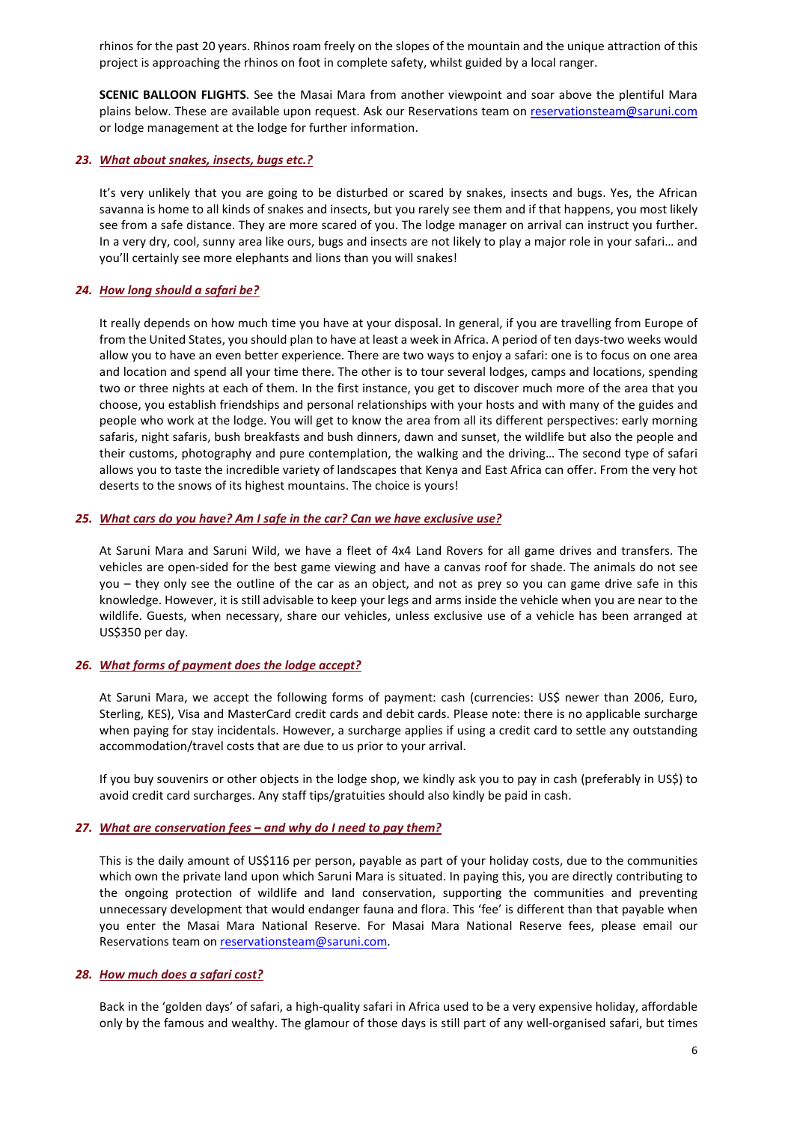rhinos for the past 20 years. Rhinos roam freely on the slopes of the mountain and the unique attraction of this project is approaching the rhinos on foot in complete safety, whilst guided by a local ranger.

**SCENIC BALLOON FLIGHTS**. See the Masai Mara from another viewpoint and soar above the plentiful Mara plains below. These are available upon request. Ask our Reservations team on [reservationsteam@saruni.com](mailto:reservationsteam@saruni.com) or lodge management at the lodge for further information.

### *23. What about [snakes,](http://www.sarunimara.com/questions/13.htm) insects, bugs etc.?*

It's very unlikely that you are going to be disturbed or scared by snakes, insects and bugs. Yes, the African savanna is home to all kinds of snakes and insects, but you rarely see them and if that happens, you most likely see from a safe distance. They are more scared of you. The lodge manager on arrival can instruct you further. In a very dry, cool, sunny area like ours, bugs and insects are not likely to play a major role in your safari… and you'll certainly see more elephants and lions than you will snakes!

### *24. How long [should](http://www.sarunimara.com/questions/15.htm) a safari be?*

It really depends on how much time you have at your disposal. In general, if you are travelling from Europe of from the United States, you should plan to have at least a week in Africa. A period of ten days-two weeks would allow you to have an even better experience. There are two ways to enjoy a safari: one is to focus on one area and location and spend all your time there. The other is to tour several lodges, camps and locations, spending two or three nights at each of them. In the first instance, you get to discover much more of the area that you choose, you establish friendships and personal relationships with your hosts and with many of the guides and people who work at the lodge. You will get to know the area from all its different perspectives: early morning safaris, night safaris, bush breakfasts and bush dinners, dawn and sunset, the wildlife but also the people and their customs, photography and pure contemplation, the walking and the driving… The second type of safari allows you to taste the incredible variety of landscapes that Kenya and East Africa can offer. From the very hot deserts to the snows of its highest mountains. The choice is yours!

### *25. What cars do you have? Am I safe in the car? Can we have exclusive use?*

At Saruni Mara and Saruni Wild, we have a fleet of 4x4 Land Rovers for all game drives and transfers. The vehicles are open-sided for the best game viewing and have a canvas roof for shade. The animals do not see you – they only see the outline of the car as an object, and not as prey so you can game drive safe in this knowledge. However, it is still advisable to keep your legs and arms inside the vehicle when you are near to the wildlife. Guests, when necessary, share our vehicles, unless exclusive use of a vehicle has been arranged at US\$350 per day.

## *26. What forms of payment does the lodge accept?*

At Saruni Mara, we accept the following forms of payment: cash (currencies: US\$ newer than 2006, Euro, Sterling, KES), Visa and MasterCard credit cards and debit cards. Please note: there is no applicable surcharge when paying for stay incidentals. However, a surcharge applies if using a credit card to settle any outstanding accommodation/travel costs that are due to us prior to your arrival.

If you buy souvenirs or other objects in the lodge shop, we kindly ask you to pay in cash (preferably in US\$) to avoid credit card surcharges. Any staff tips/gratuities should also kindly be paid in cash.

#### *27. What are conservation fees – and why do I need to pay them?*

This is the daily amount of US\$116 per person, payable as part of your holiday costs, due to the communities which own the private land upon which Saruni Mara is situated. In paying this, you are directly contributing to the ongoing protection of wildlife and land conservation, supporting the communities and preventing unnecessary development that would endanger fauna and flora. This 'fee' is different than that payable when you enter the Masai Mara National Reserve. For Masai Mara National Reserve fees, please email our Reservations team on [reservationsteam@saruni.com.](mailto:reservationsteam@saruni.com)

## *28. How much does a [safari](http://www.sarunimara.com/questions/17.htm) cost?*

Back in the 'golden days' of safari, a high-quality safari in Africa used to be a very expensive holiday, affordable only by the famous and wealthy. The glamour of those days is still part of any well-organised safari, but times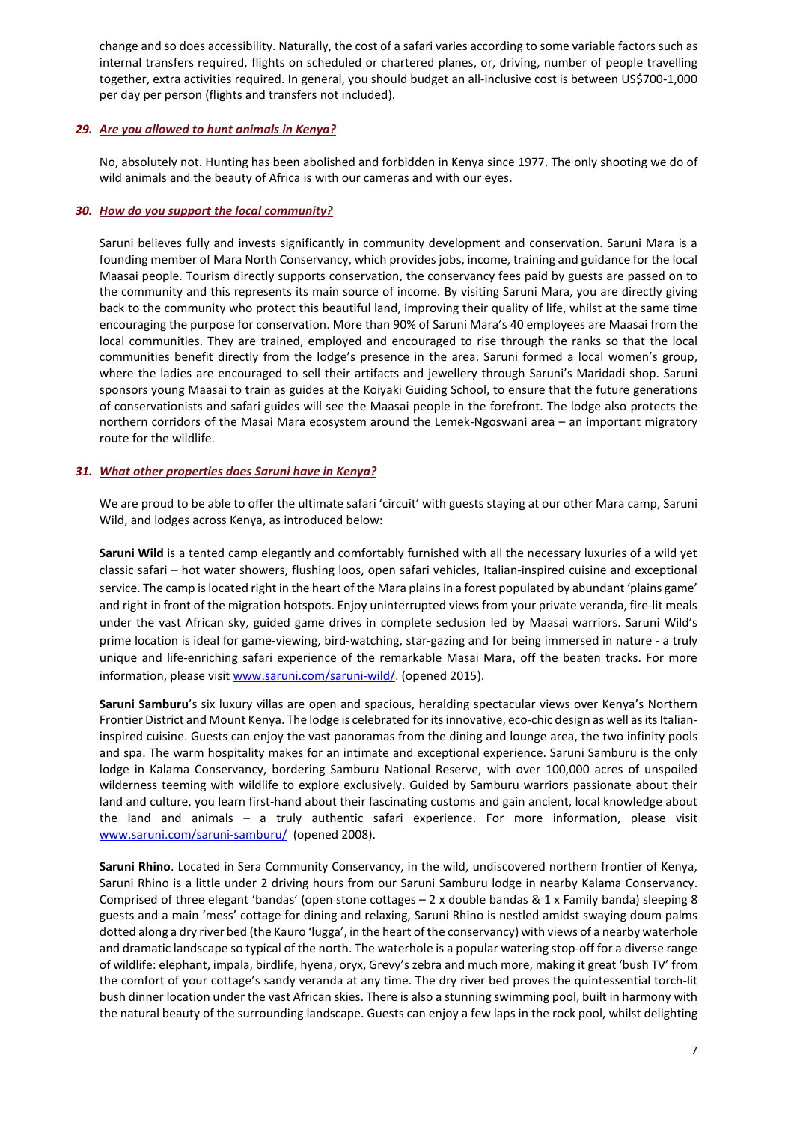change and so does accessibility. Naturally, the cost of a safari varies according to some variable factors such as internal transfers required, flights on scheduled or chartered planes, or, driving, number of people travelling together, extra activities required. In general, you should budget an all-inclusive cost is between US\$700-1,000 per day per person (flights and transfers not included).

# *29. Are you [allowed](http://www.sarunimara.com/questions/18.htm) to hunt animals in Kenya?*

No, absolutely not. Hunting has been abolished and forbidden in Kenya since 1977. The only shooting we do of wild animals and the beauty of Africa is with our cameras and with our eyes.

# *30. How do you support the local community?*

Saruni believes fully and invests significantly in community development and conservation. Saruni Mara is a founding member of Mara North Conservancy, which provides jobs, income, training and guidance for the local Maasai people. Tourism directly supports conservation, the conservancy fees paid by guests are passed on to the community and this represents its main source of income. By visiting Saruni Mara, you are directly giving back to the community who protect this beautiful land, improving their quality of life, whilst at the same time encouraging the purpose for conservation. More than 90% of Saruni Mara's 40 employees are Maasai from the local communities. They are trained, employed and encouraged to rise through the ranks so that the local communities benefit directly from the lodge's presence in the area. Saruni formed a local women's group, where the ladies are encouraged to sell their artifacts and jewellery through Saruni's Maridadi shop. Saruni sponsors young Maasai to train as guides at the Koiyaki Guiding School, to ensure that the future generations of conservationists and safari guides will see the Maasai people in the forefront. The lodge also protects the northern corridors of the Masai Mara ecosystem around the Lemek-Ngoswani area – an important migratory route for the wildlife.

# *31. What other properties does Saruni have in Kenya?*

We are proud to be able to offer the ultimate safari 'circuit' with guests staying at our other Mara camp, Saruni Wild, and lodges across Kenya, as introduced below:

**Saruni Wild** is a tented camp elegantly and comfortably furnished with all the necessary luxuries of a wild yet classic safari – hot water showers, flushing loos, open safari vehicles, Italian-inspired cuisine and exceptional service. The camp is located right in the heart of the Mara plains in a forest populated by abundant 'plains game' and right in front of the migration hotspots. Enjoy uninterrupted views from your private veranda, fire-lit meals under the vast African sky, guided game drives in complete seclusion led by Maasai warriors. Saruni Wild's prime location is ideal for game-viewing, bird-watching, star-gazing and for being immersed in nature - a truly unique and life-enriching safari experience of the remarkable Masai Mara, off the beaten tracks. For more information, please visit www.saruni.com/saruni-wild/. (opened 2015).

**Saruni Samburu**'s six luxury villas are open and spacious, heralding spectacular views over Kenya's Northern Frontier District and Mount Kenya. The lodge is celebrated for its innovative, eco-chic design as well as its Italianinspired cuisine. Guests can enjoy the vast panoramas from the dining and lounge area, the two infinity pools and spa. The warm hospitality makes for an intimate and exceptional experience. Saruni Samburu is the only lodge in Kalama Conservancy, bordering Samburu National Reserve, with over 100,000 acres of unspoiled wilderness teeming with wildlife to explore exclusively. Guided by Samburu warriors passionate about their land and culture, you learn first-hand about their fascinating customs and gain ancient, local knowledge about the land and animals – a truly authentic safari experience. For more information, please visit [www.saruni.com/saruni-samburu/](http://www.saruni.com/saruni-samburu/) (opened 2008).

**Saruni Rhino**. Located in Sera Community Conservancy, in the wild, undiscovered northern frontier of Kenya, Saruni Rhino is a little under 2 driving hours from our Saruni Samburu lodge in nearby Kalama Conservancy. Comprised of three elegant 'bandas' (open stone cottages – 2 x double bandas & 1 x Family banda) sleeping 8 guests and a main 'mess' cottage for dining and relaxing, Saruni Rhino is nestled amidst swaying doum palms dotted along a dry river bed (the Kauro 'lugga', in the heart of the conservancy) with views of a nearby waterhole and dramatic landscape so typical of the north. The waterhole is a popular watering stop-off for a diverse range of wildlife: elephant, impala, birdlife, hyena, oryx, Grevy's zebra and much more, making it great 'bush TV' from the comfort of your cottage's sandy veranda at any time. The dry river bed proves the quintessential torch-lit bush dinner location under the vast African skies. There is also a stunning swimming pool, built in harmony with the natural beauty of the surrounding landscape. Guests can enjoy a few laps in the rock pool, whilst delighting